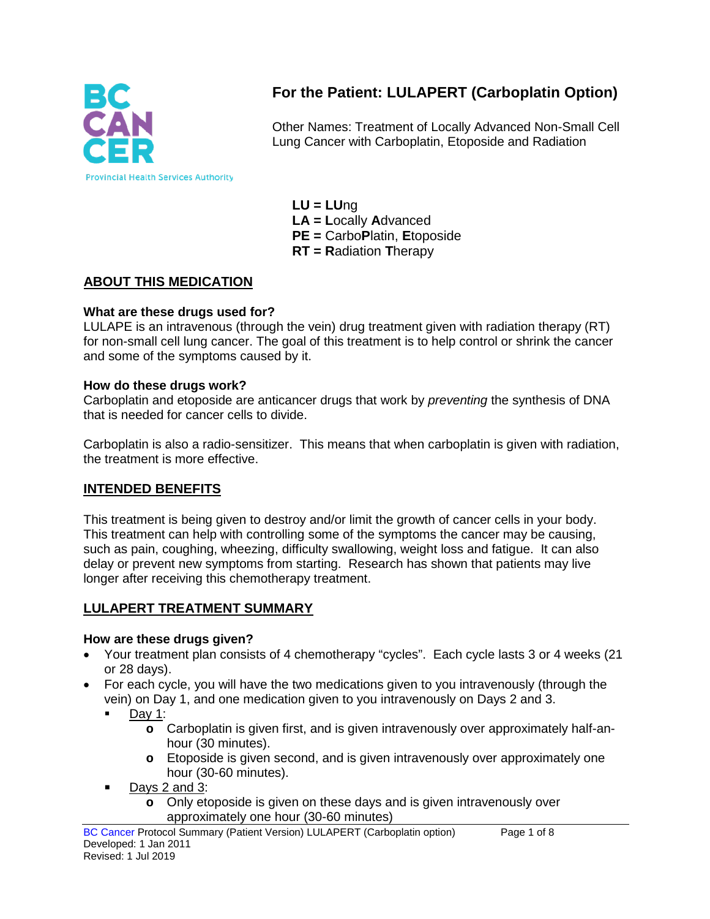

# **For the Patient: LULAPERT (Carboplatin Option)**

Other Names: Treatment of Locally Advanced Non-Small Cell Lung Cancer with Carboplatin, Etoposide and Radiation

**LU = LU**ng **LA = L**ocally **A**dvanced **PE =** Carbo**P**latin, **E**toposide **RT = R**adiation **T**herapy

### **ABOUT THIS MEDICATION**

#### **What are these drugs used for?**

LULAPE is an intravenous (through the vein) drug treatment given with radiation therapy (RT) for non-small cell lung cancer. The goal of this treatment is to help control or shrink the cancer and some of the symptoms caused by it.

#### **How do these drugs work?**

Carboplatin and etoposide are anticancer drugs that work by *preventing* the synthesis of DNA that is needed for cancer cells to divide.

Carboplatin is also a radio-sensitizer. This means that when carboplatin is given with radiation, the treatment is more effective.

### **INTENDED BENEFITS**

This treatment is being given to destroy and/or limit the growth of cancer cells in your body. This treatment can help with controlling some of the symptoms the cancer may be causing, such as pain, coughing, wheezing, difficulty swallowing, weight loss and fatigue. It can also delay or prevent new symptoms from starting. Research has shown that patients may live longer after receiving this chemotherapy treatment.

# **LULAPERT TREATMENT SUMMARY**

#### **How are these drugs given?**

- Your treatment plan consists of 4 chemotherapy "cycles". Each cycle lasts 3 or 4 weeks (21) or 28 days).
- For each cycle, you will have the two medications given to you intravenously (through the vein) on Day 1, and one medication given to you intravenously on Days 2 and 3.
	- $\blacksquare$  Day 1:
		- **o** Carboplatin is given first, and is given intravenously over approximately half-anhour (30 minutes).
		- **o** Etoposide is given second, and is given intravenously over approximately one hour (30-60 minutes).
	- Days 2 and 3:
		- **o** Only etoposide is given on these days and is given intravenously over approximately one hour (30-60 minutes)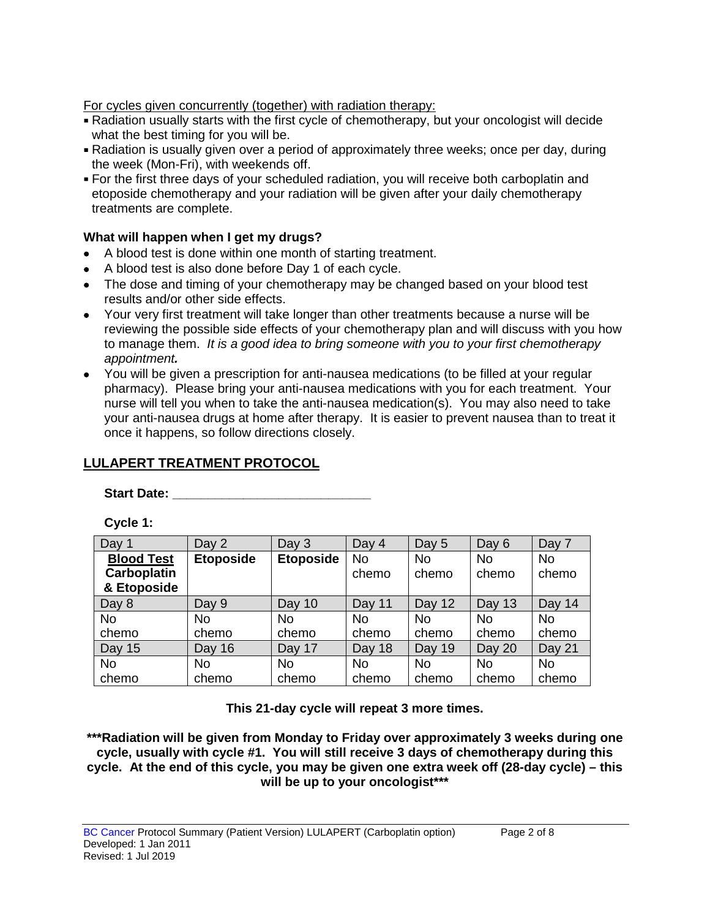For cycles given concurrently (together) with radiation therapy:

- Radiation usually starts with the first cycle of chemotherapy, but your oncologist will decide what the best timing for you will be.
- Radiation is usually given over a period of approximately three weeks; once per day, during the week (Mon-Fri), with weekends off.
- For the first three days of your scheduled radiation, you will receive both carboplatin and etoposide chemotherapy and your radiation will be given after your daily chemotherapy treatments are complete.

#### **What will happen when I get my drugs?**

- A blood test is done within one month of starting treatment.
- A blood test is also done before Day 1 of each cycle.
- The dose and timing of your chemotherapy may be changed based on your blood test results and/or other side effects.
- Your very first treatment will take longer than other treatments because a nurse will be reviewing the possible side effects of your chemotherapy plan and will discuss with you how to manage them. *It is a good idea to bring someone with you to your first chemotherapy appointment.*
- You will be given a prescription for anti-nausea medications (to be filled at your regular pharmacy). Please bring your anti-nausea medications with you for each treatment. Your nurse will tell you when to take the anti-nausea medication(s). You may also need to take your anti-nausea drugs at home after therapy. It is easier to prevent nausea than to treat it once it happens, so follow directions closely.

# **LULAPERT TREATMENT PROTOCOL**

Start Date: <u>\_\_\_\_\_\_\_\_\_\_\_\_\_\_\_\_\_\_\_\_</u>

**Cycle 1:**

| Day 1              | Day 2            | Day 3            | Day 4     | Day 5     | Day 6     | Day 7     |
|--------------------|------------------|------------------|-----------|-----------|-----------|-----------|
| <b>Blood Test</b>  | <b>Etoposide</b> | <b>Etoposide</b> | <b>No</b> | <b>No</b> | <b>No</b> | <b>No</b> |
| <b>Carboplatin</b> |                  |                  | chemo     | chemo     | chemo     | chemo     |
| & Etoposide        |                  |                  |           |           |           |           |
| Day 8              | Day 9            | Day 10           | Day 11    | Day 12    | Day 13    | Day 14    |
| <b>No</b>          | <b>No</b>        | No               | No        | No        | <b>No</b> | <b>No</b> |
| chemo              | chemo            | chemo            | chemo     | chemo     | chemo     | chemo     |
| Day 15             | Day 16           | Day 17           | Day 18    | Day 19    | Day 20    | Day 21    |
| <b>No</b>          | No.              | No               | No        | No        | <b>No</b> | <b>No</b> |
| chemo              | chemo            | chemo            | chemo     | chemo     | chemo     | chemo     |

**This 21-day cycle will repeat 3 more times.**

**\*\*\*Radiation will be given from Monday to Friday over approximately 3 weeks during one cycle, usually with cycle #1. You will still receive 3 days of chemotherapy during this cycle. At the end of this cycle, you may be given one extra week off (28-day cycle) – this will be up to your oncologist\*\*\***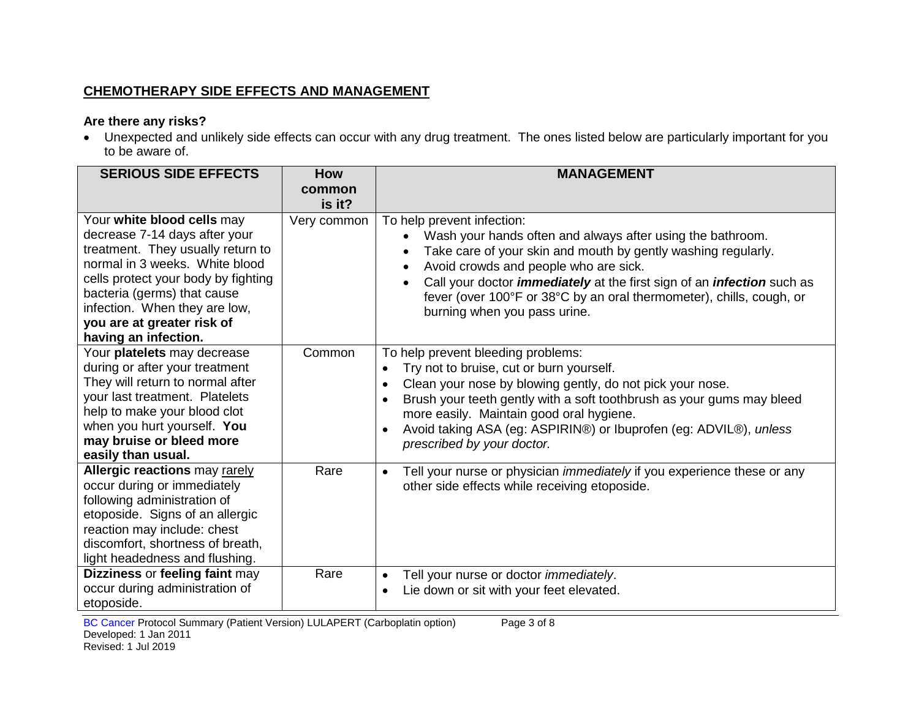# **CHEMOTHERAPY SIDE EFFECTS AND MANAGEMENT**

#### **Are there any risks?**

• Unexpected and unlikely side effects can occur with any drug treatment. The ones listed below are particularly important for you to be aware of.

| <b>SERIOUS SIDE EFFECTS</b>                                                                                                                                                                                                                                                  | <b>How</b><br>common  | <b>MANAGEMENT</b>                                                                                                                                                                                                                                                                                                                                                                                  |
|------------------------------------------------------------------------------------------------------------------------------------------------------------------------------------------------------------------------------------------------------------------------------|-----------------------|----------------------------------------------------------------------------------------------------------------------------------------------------------------------------------------------------------------------------------------------------------------------------------------------------------------------------------------------------------------------------------------------------|
| Your white blood cells may<br>decrease 7-14 days after your<br>treatment. They usually return to<br>normal in 3 weeks. White blood<br>cells protect your body by fighting<br>bacteria (germs) that cause<br>infection. When they are low,<br>you are at greater risk of      | is it?<br>Very common | To help prevent infection:<br>Wash your hands often and always after using the bathroom.<br>Take care of your skin and mouth by gently washing regularly.<br>Avoid crowds and people who are sick.<br>Call your doctor <i>immediately</i> at the first sign of an <i>infection</i> such as<br>fever (over 100°F or 38°C by an oral thermometer), chills, cough, or<br>burning when you pass urine. |
| having an infection.<br>Your platelets may decrease<br>during or after your treatment<br>They will return to normal after<br>your last treatment. Platelets<br>help to make your blood clot<br>when you hurt yourself. You<br>may bruise or bleed more<br>easily than usual. | Common                | To help prevent bleeding problems:<br>Try not to bruise, cut or burn yourself.<br>Clean your nose by blowing gently, do not pick your nose.<br>$\bullet$<br>Brush your teeth gently with a soft toothbrush as your gums may bleed<br>more easily. Maintain good oral hygiene.<br>Avoid taking ASA (eg: ASPIRIN®) or Ibuprofen (eg: ADVIL®), unless<br>prescribed by your doctor.                   |
| <b>Allergic reactions may rarely</b><br>occur during or immediately<br>following administration of<br>etoposide. Signs of an allergic<br>reaction may include: chest<br>discomfort, shortness of breath,<br>light headedness and flushing.                                   | Rare                  | Tell your nurse or physician <i>immediately</i> if you experience these or any<br>$\bullet$<br>other side effects while receiving etoposide.                                                                                                                                                                                                                                                       |
| Dizziness or feeling faint may<br>occur during administration of<br>etoposide.                                                                                                                                                                                               | Rare                  | Tell your nurse or doctor <i>immediately</i> .<br>$\bullet$<br>Lie down or sit with your feet elevated.                                                                                                                                                                                                                                                                                            |

BC Cancer Protocol Summary (Patient Version) LULAPERT (Carboplatin option) Page 3 of 8 Developed: 1 Jan 2011

Revised: 1 Jul 2019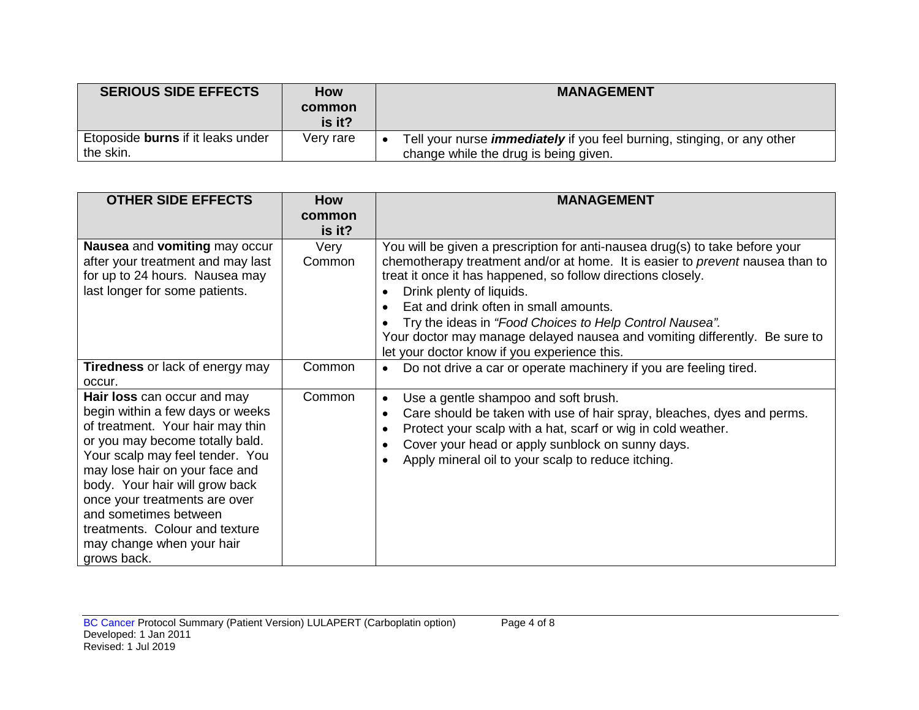| <b>SERIOUS SIDE EFFECTS</b>              | <b>How</b> | <b>MANAGEMENT</b>                                                              |  |
|------------------------------------------|------------|--------------------------------------------------------------------------------|--|
|                                          | common     |                                                                                |  |
|                                          | is it?     |                                                                                |  |
| Etoposide <b>burns</b> if it leaks under | Very rare  | Tell your nurse <i>immediately</i> if you feel burning, stinging, or any other |  |
| the skin.                                |            | change while the drug is being given.                                          |  |

| <b>OTHER SIDE EFFECTS</b>                                                                                                                                                                                                                                                                                                                                                             | <b>How</b>       | <b>MANAGEMENT</b>                                                                                                                                                                                                                                                                                                                                                                                                                                                                           |
|---------------------------------------------------------------------------------------------------------------------------------------------------------------------------------------------------------------------------------------------------------------------------------------------------------------------------------------------------------------------------------------|------------------|---------------------------------------------------------------------------------------------------------------------------------------------------------------------------------------------------------------------------------------------------------------------------------------------------------------------------------------------------------------------------------------------------------------------------------------------------------------------------------------------|
|                                                                                                                                                                                                                                                                                                                                                                                       | common<br>is it? |                                                                                                                                                                                                                                                                                                                                                                                                                                                                                             |
| Nausea and vomiting may occur<br>after your treatment and may last<br>for up to 24 hours. Nausea may<br>last longer for some patients.                                                                                                                                                                                                                                                | Very<br>Common   | You will be given a prescription for anti-nausea drug(s) to take before your<br>chemotherapy treatment and/or at home. It is easier to prevent nausea than to<br>treat it once it has happened, so follow directions closely.<br>Drink plenty of liquids.<br>Eat and drink often in small amounts.<br>Try the ideas in "Food Choices to Help Control Nausea".<br>Your doctor may manage delayed nausea and vomiting differently. Be sure to<br>let your doctor know if you experience this. |
| <b>Tiredness</b> or lack of energy may<br>occur.                                                                                                                                                                                                                                                                                                                                      | Common           | Do not drive a car or operate machinery if you are feeling tired.<br>$\bullet$                                                                                                                                                                                                                                                                                                                                                                                                              |
| Hair loss can occur and may<br>begin within a few days or weeks<br>of treatment. Your hair may thin<br>or you may become totally bald.<br>Your scalp may feel tender. You<br>may lose hair on your face and<br>body. Your hair will grow back<br>once your treatments are over<br>and sometimes between<br>treatments. Colour and texture<br>may change when your hair<br>grows back. | Common           | Use a gentle shampoo and soft brush.<br>$\bullet$<br>Care should be taken with use of hair spray, bleaches, dyes and perms.<br>٠<br>Protect your scalp with a hat, scarf or wig in cold weather.<br>$\bullet$<br>Cover your head or apply sunblock on sunny days.<br>٠<br>Apply mineral oil to your scalp to reduce itching.                                                                                                                                                                |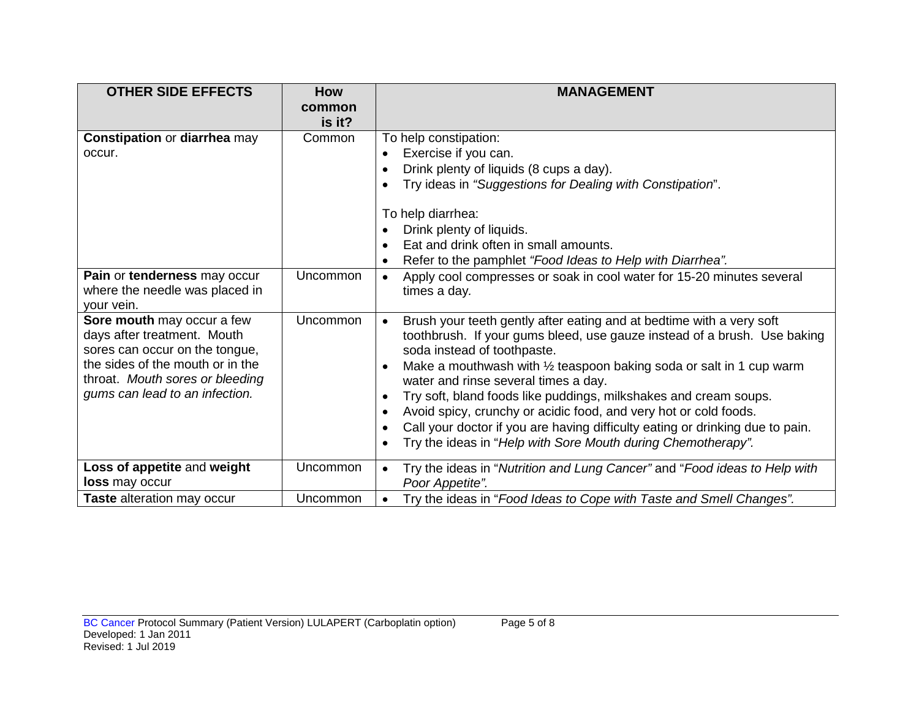| <b>OTHER SIDE EFFECTS</b>                                                                                                                                                                            | <b>How</b>       | <b>MANAGEMENT</b>                                                                                                                                                                                                                                                                                                                                                                                                                                                                                                                                                                                                                                                                |
|------------------------------------------------------------------------------------------------------------------------------------------------------------------------------------------------------|------------------|----------------------------------------------------------------------------------------------------------------------------------------------------------------------------------------------------------------------------------------------------------------------------------------------------------------------------------------------------------------------------------------------------------------------------------------------------------------------------------------------------------------------------------------------------------------------------------------------------------------------------------------------------------------------------------|
|                                                                                                                                                                                                      | common<br>is it? |                                                                                                                                                                                                                                                                                                                                                                                                                                                                                                                                                                                                                                                                                  |
| <b>Constipation or diarrhea may</b><br>occur.                                                                                                                                                        | Common           | To help constipation:<br>Exercise if you can.<br>$\bullet$<br>Drink plenty of liquids (8 cups a day).<br>$\bullet$<br>Try ideas in "Suggestions for Dealing with Constipation".<br>To help diarrhea:<br>Drink plenty of liquids.<br>Eat and drink often in small amounts.                                                                                                                                                                                                                                                                                                                                                                                                        |
| Pain or tenderness may occur<br>where the needle was placed in<br>your vein.                                                                                                                         | Uncommon         | Refer to the pamphlet "Food Ideas to Help with Diarrhea".<br>$\bullet$<br>Apply cool compresses or soak in cool water for 15-20 minutes several<br>$\bullet$<br>times a day.                                                                                                                                                                                                                                                                                                                                                                                                                                                                                                     |
| Sore mouth may occur a few<br>days after treatment. Mouth<br>sores can occur on the tongue,<br>the sides of the mouth or in the<br>throat. Mouth sores or bleeding<br>gums can lead to an infection. | <b>Uncommon</b>  | Brush your teeth gently after eating and at bedtime with a very soft<br>$\bullet$<br>toothbrush. If your gums bleed, use gauze instead of a brush. Use baking<br>soda instead of toothpaste.<br>Make a mouthwash with $\frac{1}{2}$ teaspoon baking soda or salt in 1 cup warm<br>$\bullet$<br>water and rinse several times a day.<br>Try soft, bland foods like puddings, milkshakes and cream soups.<br>$\bullet$<br>Avoid spicy, crunchy or acidic food, and very hot or cold foods.<br>$\bullet$<br>Call your doctor if you are having difficulty eating or drinking due to pain.<br>$\bullet$<br>Try the ideas in "Help with Sore Mouth during Chemotherapy".<br>$\bullet$ |
| Loss of appetite and weight<br><b>loss</b> may occur                                                                                                                                                 | Uncommon         | Try the ideas in "Nutrition and Lung Cancer" and "Food ideas to Help with<br>$\bullet$<br>Poor Appetite".                                                                                                                                                                                                                                                                                                                                                                                                                                                                                                                                                                        |
| Taste alteration may occur                                                                                                                                                                           | Uncommon         | Try the ideas in "Food Ideas to Cope with Taste and Smell Changes".<br>$\bullet$                                                                                                                                                                                                                                                                                                                                                                                                                                                                                                                                                                                                 |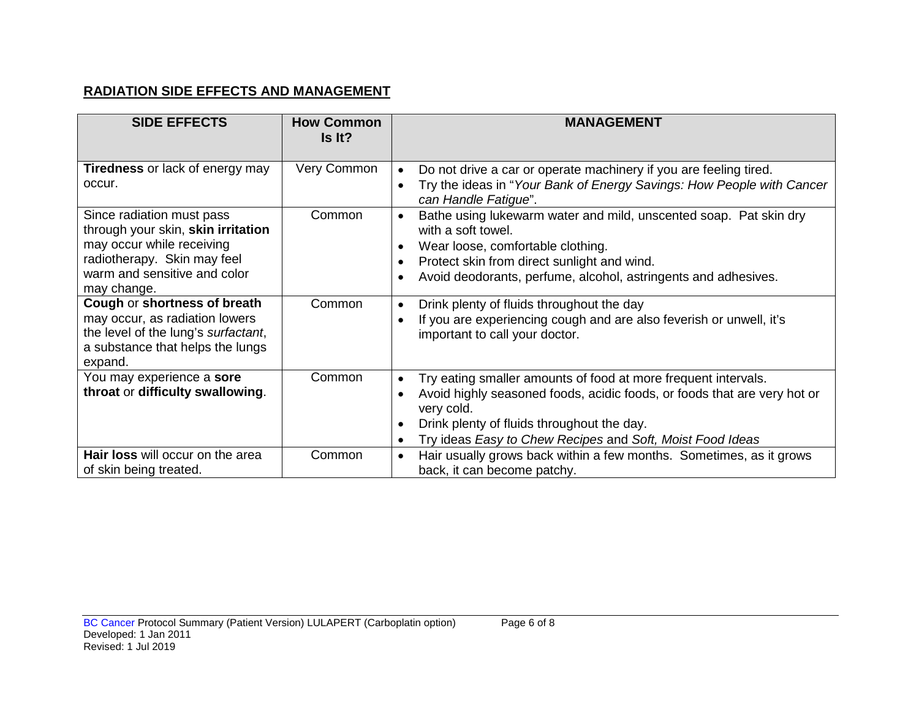# **RADIATION SIDE EFFECTS AND MANAGEMENT**

| <b>SIDE EFFECTS</b>                                                                                                                                                                                                                          | <b>How Common</b><br>Is It? | <b>MANAGEMENT</b>                                                                                                                                                                                                                                                                                                    |
|----------------------------------------------------------------------------------------------------------------------------------------------------------------------------------------------------------------------------------------------|-----------------------------|----------------------------------------------------------------------------------------------------------------------------------------------------------------------------------------------------------------------------------------------------------------------------------------------------------------------|
| <b>Tiredness</b> or lack of energy may<br>occur.                                                                                                                                                                                             | Very Common                 | Do not drive a car or operate machinery if you are feeling tired.<br>$\bullet$<br>Try the ideas in "Your Bank of Energy Savings: How People with Cancer<br>can Handle Fatigue".                                                                                                                                      |
| Since radiation must pass<br>through your skin, skin irritation<br>may occur while receiving<br>radiotherapy. Skin may feel<br>warm and sensitive and color<br>may change.<br>Cough or shortness of breath<br>may occur, as radiation lowers | Common<br>Common            | Bathe using lukewarm water and mild, unscented soap. Pat skin dry<br>with a soft towel.<br>Wear loose, comfortable clothing.<br>$\bullet$<br>Protect skin from direct sunlight and wind.<br>Avoid deodorants, perfume, alcohol, astringents and adhesives.<br>Drink plenty of fluids throughout the day<br>$\bullet$ |
| the level of the lung's surfactant,<br>a substance that helps the lungs<br>expand.                                                                                                                                                           |                             | If you are experiencing cough and are also feverish or unwell, it's<br>$\bullet$<br>important to call your doctor.                                                                                                                                                                                                   |
| You may experience a sore<br>throat or difficulty swallowing.                                                                                                                                                                                | Common                      | Try eating smaller amounts of food at more frequent intervals.<br>$\bullet$<br>Avoid highly seasoned foods, acidic foods, or foods that are very hot or<br>$\bullet$<br>very cold.<br>Drink plenty of fluids throughout the day.<br>Try ideas Easy to Chew Recipes and Soft, Moist Food Ideas                        |
| <b>Hair loss</b> will occur on the area<br>of skin being treated.                                                                                                                                                                            | Common                      | Hair usually grows back within a few months. Sometimes, as it grows<br>$\bullet$<br>back, it can become patchy.                                                                                                                                                                                                      |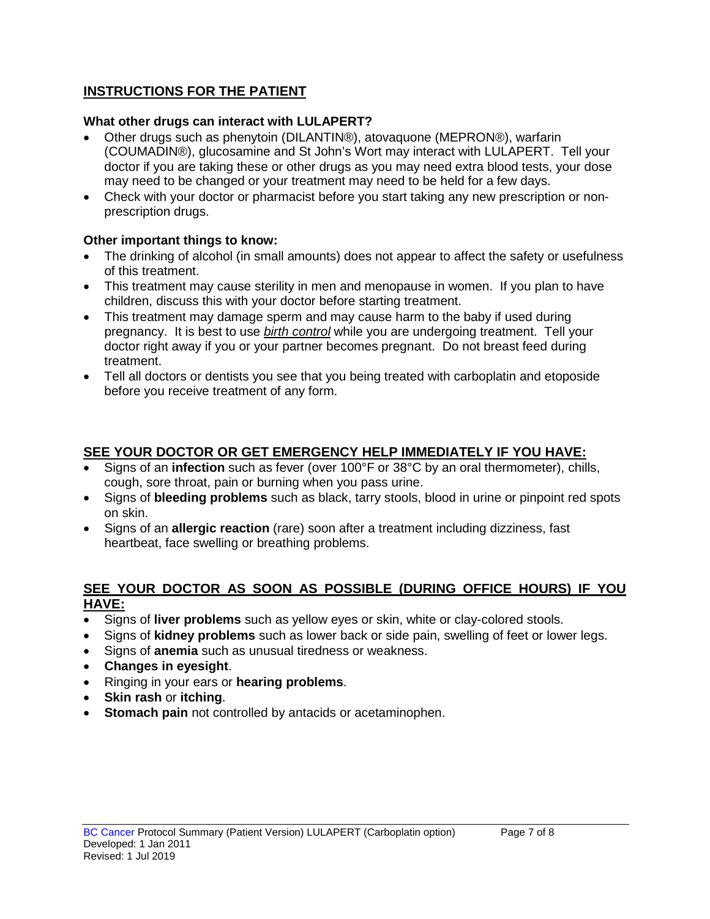# **INSTRUCTIONS FOR THE PATIENT**

### **What other drugs can interact with LULAPERT?**

- Other drugs such as phenytoin (DILANTIN®), atovaquone (MEPRON®), warfarin (COUMADIN®), glucosamine and St John's Wort may interact with LULAPERT. Tell your doctor if you are taking these or other drugs as you may need extra blood tests, your dose may need to be changed or your treatment may need to be held for a few days.
- Check with your doctor or pharmacist before you start taking any new prescription or nonprescription drugs.

# **Other important things to know:**

- The drinking of alcohol (in small amounts) does not appear to affect the safety or usefulness of this treatment.
- This treatment may cause sterility in men and menopause in women. If you plan to have children, discuss this with your doctor before starting treatment.
- This treatment may damage sperm and may cause harm to the baby if used during pregnancy. It is best to use *birth control* while you are undergoing treatment. Tell your doctor right away if you or your partner becomes pregnant. Do not breast feed during treatment.
- Tell all doctors or dentists you see that you being treated with carboplatin and etoposide before you receive treatment of any form.

# **SEE YOUR DOCTOR OR GET EMERGENCY HELP IMMEDIATELY IF YOU HAVE:**

- Signs of an **infection** such as fever (over 100°F or 38°C by an oral thermometer), chills, cough, sore throat, pain or burning when you pass urine.
- Signs of **bleeding problems** such as black, tarry stools, blood in urine or pinpoint red spots on skin.
- Signs of an **allergic reaction** (rare) soon after a treatment including dizziness, fast heartbeat, face swelling or breathing problems.

### **SEE YOUR DOCTOR AS SOON AS POSSIBLE (DURING OFFICE HOURS) IF YOU HAVE:**

- Signs of **liver problems** such as yellow eyes or skin, white or clay-colored stools.
- Signs of **kidney problems** such as lower back or side pain, swelling of feet or lower legs.
- Signs of **anemia** such as unusual tiredness or weakness.
- **Changes in eyesight**.
- Ringing in your ears or **hearing problems**.
- **Skin rash** or **itching**.
- **Stomach pain** not controlled by antacids or acetaminophen.